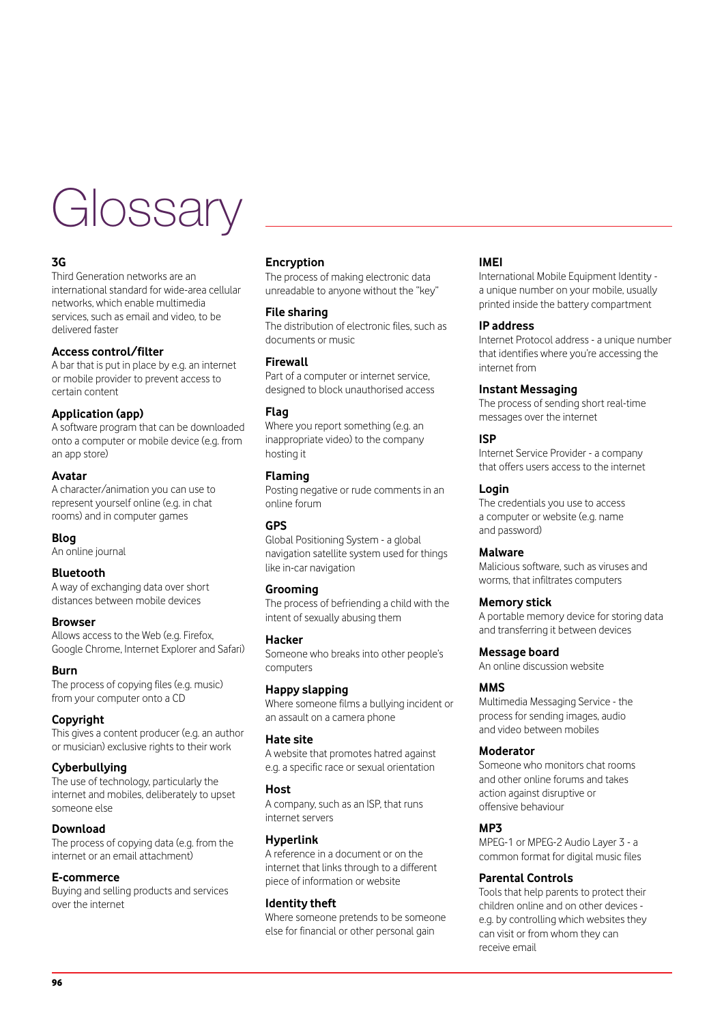# **Glossary**

# **3G**

Third Generation networks are an international standard for wide-area cellular networks, which enable multimedia services, such as email and video, to be delivered faster

# **Access control/filter**

A bar that is put in place by e.g. an internet or mobile provider to prevent access to certain content

# **Application (app)**

A software program that can be downloaded onto a computer or mobile device (e.g. from an app store)

## **Avatar**

A character/animation you can use to represent yourself online (e.g. in chat rooms) and in computer games

## **Blog**

An online journal

## **Bluetooth**

A way of exchanging data over short distances between mobile devices

#### **Browser**

Allows access to the Web (e.g. Firefox, Google Chrome, Internet Explorer and Safari)

## **Burn**

The process of copying files (e.g. music) from your computer onto a CD

# **Copyright**

This gives a content producer (e.g. an author or musician) exclusive rights to their work

# **Cyberbullying**

The use of technology, particularly the internet and mobiles, deliberately to upset someone else

## **Download**

The process of copying data (e.g. from the internet or an email attachment)

## **E-commerce**

Buying and selling products and services over the internet

## **Encryption**

The process of making electronic data unreadable to anyone without the "key"

## **File sharing**

The distribution of electronic files, such as documents or music

## **Firewall**

Part of a computer or internet service, designed to block unauthorised access

# **Flag**

Where you report something (e.g. an inappropriate video) to the company hosting it

# **Flaming**

Posting negative or rude comments in an online forum

## **GPS**

Global Positioning System - a global navigation satellite system used for things like in-car navigation

#### **Grooming**

The process of befriending a child with the intent of sexually abusing them

## **Hacker**

Someone who breaks into other people's computers

## **Happy slapping**

Where someone films a bullying incident or an assault on a camera phone

## **Hate site**

A website that promotes hatred against e.g. a specific race or sexual orientation

## **Host**

A company, such as an ISP, that runs internet servers

## **Hyperlink**

A reference in a document or on the internet that links through to a different piece of information or website

## **Identity theft**

Where someone pretends to be someone else for financial or other personal gain

## **IMEI**

International Mobile Equipment Identity a unique number on your mobile, usually printed inside the battery compartment

## **IP address**

Internet Protocol address - a unique number that identifies where you're accessing the internet from

## **Instant Messaging**

The process of sending short real-time messages over the internet

## **ISP**

Internet Service Provider - a company that offers users access to the internet

## **Login**

The credentials you use to access a computer or website (e.g. name and password)

#### **Malware**

Malicious software, such as viruses and worms, that infiltrates computers

## **Memory stick**

A portable memory device for storing data and transferring it between devices

## **Message board**

An online discussion website

#### **MMS**

Multimedia Messaging Service - the process for sending images, audio and video between mobiles

# **Moderator**

Someone who monitors chat rooms and other online forums and takes action against disruptive or offensive behaviour

## **MP3**

MPEG-1 or MPEG-2 Audio Layer 3 - a common format for digital music files

## **Parental Controls**

Tools that help parents to protect their children online and on other devices e.g. by controlling which websites they can visit or from whom they can receive email